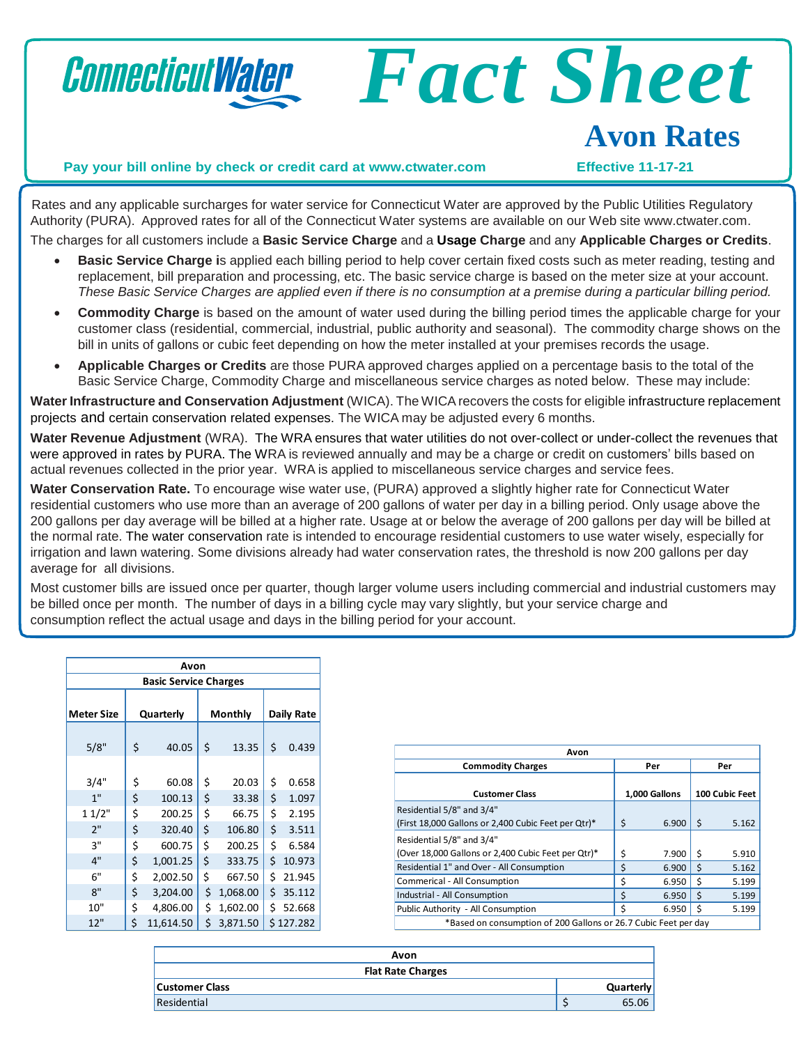

Rates and any applicable surcharges for water service for Connecticut Water are approved by the Public Utilities Regulatory Authority (PURA). Approved rates for all of the Connecticut Water systems are available on our Web site [www.ctwater.com.](http://www.ctwater.com/) The charges for all customers include a **Basic Service Charge** and a **Usage Charge** and any **Applicable Charges or Credits**.

- **Basic Service Charge i**s applied each billing period to help cover certain fixed costs such as meter reading, testing and replacement, bill preparation and processing, etc. The basic service charge is based on the meter size at your account. These Basic Service Charges are applied even if there is no consumption at a premise during a particular billing period.
- **Commodity Charge** is based on the amount of water used during the billing period times the applicable charge for your customer class (residential, commercial, industrial, public authority and seasonal). The commodity charge shows on the bill in units of gallons or cubic feet depending on how the meter installed at your premises records the usage.
- **Applicable Charges or Credits** are those PURA approved charges applied on a percentage basis to the total of the Basic Service Charge, Commodity Charge and miscellaneous service charges as noted below. These may include:

**Water Infrastructure and Conservation Adjustment** (WICA). The WICArecovers the costs for eligible infrastructure replacement projects and certain conservation related expenses. The WICA may be adjusted every 6 months.

**Water Revenue Adjustment** (WRA). The WRA ensures that water utilities do not over-collect or under-collect the revenues that were approved in rates by PURA. The WRA is reviewed annually and may be a charge or credit on customers' bills based on actual revenues collected in the prior year. WRA is applied to miscellaneous service charges and service fees.

**Water Conservation Rate.** To encourage wise water use, (PURA) approved a slightly higher rate for Connecticut Water residential customers who use more than an average of 200 gallons of water per day in a billing period. Only usage above the 200 gallons per day average will be billed at a higher rate. Usage at or below the average of 200 gallons per day will be billed at the normal rate. The water conservation rate is intended to encourage residential customers to use water wisely, especially for irrigation and lawn watering. Some divisions already had water conservation rates, the threshold is now 200 gallons per day average for all divisions.

Most customer bills are issued once per quarter, though larger volume users including commercial and industrial customers may be billed once per month. The number of days in a billing cycle may vary slightly, but your service charge and consumption reflect the actual usage and days in the billing period for your account.

| Avon                         |           |           |         |          |            |           |
|------------------------------|-----------|-----------|---------|----------|------------|-----------|
| <b>Basic Service Charges</b> |           |           |         |          |            |           |
| <b>Meter Size</b>            | Quarterly |           | Monthly |          | Daily Rate |           |
| 5/8"                         | \$        | 40.05     | \$      | 13.35    | \$         | 0.439     |
| 3/4"                         | \$        | 60.08     | \$      | 20.03    | \$         | 0.658     |
| 1"                           | \$        | 100.13    | \$      | 33.38    | \$         | 1.097     |
| 11/2"                        | \$        | 200.25    | \$      | 66.75    | \$         | 2.195     |
| 2"                           | \$        | 320.40    | \$      | 106.80   | \$         | 3.511     |
| 3"                           | \$        | 600.75    | \$      | 200.25   | \$         | 6.584     |
| 4"                           | \$        | 1,001.25  | \$      | 333.75   | \$         | 10.973    |
| 6"                           | \$        | 2,002.50  | \$      | 667.50   | \$         | 21.945    |
| 8"                           | \$        | 3,204.00  | \$      | 1,068.00 | \$         | 35.112    |
| 10"                          | \$        | 4,806.00  | \$      | 1,602.00 | \$         | 52.668    |
| 12"                          | \$        | 11,614.50 | \$      | 3,871.50 |            | \$127.282 |

| Avon                                                                             |    |               |    |                |  |
|----------------------------------------------------------------------------------|----|---------------|----|----------------|--|
| <b>Commodity Charges</b>                                                         |    | Per           |    | Per            |  |
| <b>Customer Class</b>                                                            |    | 1,000 Gallons |    | 100 Cubic Feet |  |
| Residential 5/8" and 3/4"<br>(First 18,000 Gallons or 2,400 Cubic Feet per Qtr)* | \$ | 6.900         | Ŝ. | 5.162          |  |
| Residential 5/8" and 3/4"<br>(Over 18,000 Gallons or 2,400 Cubic Feet per Qtr)*  | Ś  | 7.900         | -Ś | 5.910          |  |
| Residential 1" and Over - All Consumption                                        | Ś  | 6.900         | Ś. | 5.162          |  |
| Commerical - All Consumption                                                     | Ś  | 6.950         | \$ | 5.199          |  |
| Industrial - All Consumption                                                     | Ś  | 6.950         | Ś  | 5.199          |  |
| Public Authority - All Consumption                                               | Ś  | 6.950         | S  | 5.199          |  |
| *Based on consumption of 200 Gallons or 26.7 Cubic Feet per day                  |    |               |    |                |  |

| Avon                     |  |                  |
|--------------------------|--|------------------|
| <b>Flat Rate Charges</b> |  |                  |
| <b>Customer Class</b>    |  | <b>Quarterly</b> |
| Residential              |  | 65.06            |